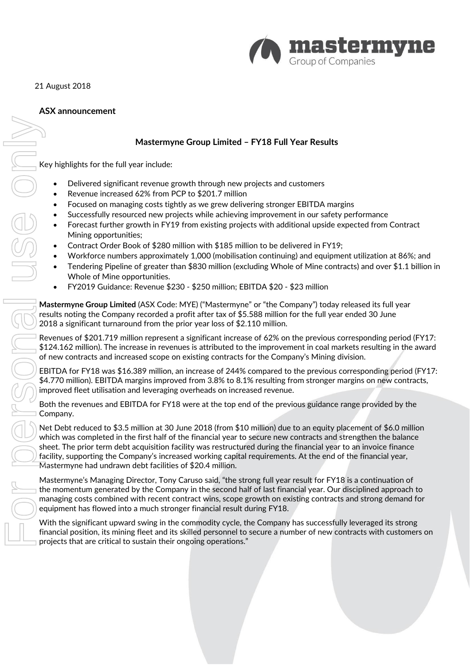

21 August 2018

## **ASX announcement**

# **Mastermyne Group Limited – FY18 Full Year Results**

Key highlights for the full year include:

- Delivered significant revenue growth through new projects and customers
- Revenue increased 62% from PCP to \$201.7 million
- Focused on managing costs tightly as we grew delivering stronger EBITDA margins
- Successfully resourced new projects while achieving improvement in our safety performance
- Forecast further growth in FY19 from existing projects with additional upside expected from Contract Mining opportunities;
- Contract Order Book of \$280 million with \$185 million to be delivered in FY19;
- Workforce numbers approximately 1,000 (mobilisation continuing) and equipment utilization at 86%; and
- Tendering Pipeline of greater than \$830 million (excluding Whole of Mine contracts) and over \$1.1 billion in Whole of Mine opportunities.
- FY2019 Guidance: Revenue \$230 \$250 million; EBITDA \$20 \$23 million

**Mastermyne Group Limited** (ASX Code: MYE) ("Mastermyne" or "the Company") today released its full year results noting the Company recorded a profit after tax of \$5.588 million for the full year ended 30 June 2018 a significant turnaround from the prior year loss of \$2.110 million.

Revenues of \$201.719 million represent a significant increase of 62% on the previous corresponding period (FY17: \$124.162 million). The increase in revenues is attributed to the improvement in coal markets resulting in the award of new contracts and increased scope on existing contracts for the Company's Mining division.

EBITDA for FY18 was \$16.389 million, an increase of 244% compared to the previous corresponding period (FY17: \$4.770 million). EBITDA margins improved from 3.8% to 8.1% resulting from stronger margins on new contracts, improved fleet utilisation and leveraging overheads on increased revenue.

Both the revenues and EBITDA for FY18 were at the top end of the previous guidance range provided by the Company.

Net Debt reduced to \$3.5 million at 30 June 2018 (from \$10 million) due to an equity placement of \$6.0 million which was completed in the first half of the financial year to secure new contracts and strengthen the balance sheet. The prior term debt acquisition facility was restructured during the financial year to an invoice finance facility, supporting the Company's increased working capital requirements. At the end of the financial year, Mastermyne had undrawn debt facilities of \$20.4 million. **Financial position**<br> **Example:** The financial position of the skilled personnel to secure a number of the secure and contracts with a number of the secure and contracts with a number of new contracts with a number of new

Mastermyne's Managing Director, Tony Caruso said, "the strong full year result for FY18 is a continuation of the momentum generated by the Company in the second half of last financial year. Our disciplined approach to managing costs combined with recent contract wins, scope growth on existing contracts and strong demand for equipment has flowed into a much stronger financial result during FY18.

With the significant upward swing in the commodity cycle, the Company has successfully leveraged its strong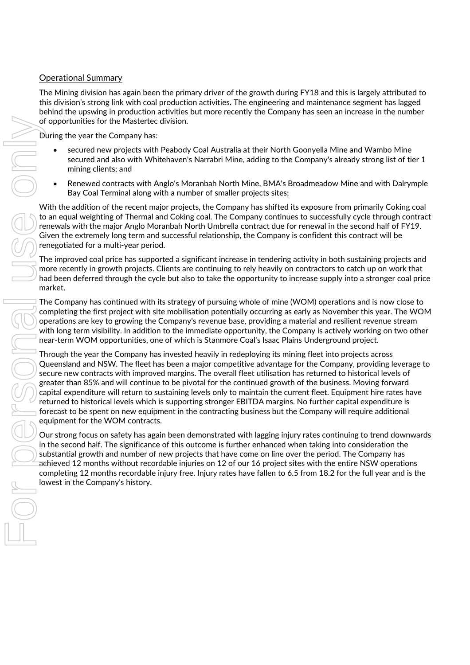### Operational Summary

The Mining division has again been the primary driver of the growth during FY18 and this is largely attributed to this division's strong link with coal production activities. The engineering and maintenance segment has lagged behind the upswing in production activities but more recently the Company has seen an increase in the number of opportunities for the Mastertec division.

During the year the Company has:

- secured new projects with Peabody Coal Australia at their North Goonyella Mine and Wambo Mine secured and also with Whitehaven's Narrabri Mine, adding to the Company's already strong list of tier 1 mining clients; and
- Renewed contracts with Anglo's Moranbah North Mine, BMA's Broadmeadow Mine and with Dalrymple Bay Coal Terminal along with a number of smaller projects sites;

With the addition of the recent major projects, the Company has shifted its exposure from primarily Coking coal to an equal weighting of Thermal and Coking coal. The Company continues to successfully cycle through contract renewals with the major Anglo Moranbah North Umbrella contract due for renewal in the second half of FY19. Given the extremely long term and successful relationship, the Company is confident this contract will be renegotiated for a multi-year period.

The improved coal price has supported a significant increase in tendering activity in both sustaining projects and more recently in growth projects. Clients are continuing to rely heavily on contractors to catch up on work that had been deferred through the cycle but also to take the opportunity to increase supply into a stronger coal price market.

The Company has continued with its strategy of pursuing whole of mine (WOM) operations and is now close to completing the first project with site mobilisation potentially occurring as early as November this year. The WOM operations are key to growing the Company's revenue base, providing a material and resilient revenue stream with long term visibility. In addition to the immediate opportunity, the Company is actively working on two other near-term WOM opportunities, one of which is Stanmore Coal's Isaac Plains Underground project.

Through the year the Company has invested heavily in redeploying its mining fleet into projects across Queensland and NSW. The fleet has been a major competitive advantage for the Company, providing leverage to secure new contracts with improved margins. The overall fleet utilisation has returned to historical levels of greater than 85% and will continue to be pivotal for the continued growth of the business. Moving forward capital expenditure will return to sustaining levels only to maintain the current fleet. Equipment hire rates have returned to historical levels which is supporting stronger EBITDA margins. No further capital expenditure is forecast to be spent on new equipment in the contracting business but the Company will require additional equipment for the WOM contracts.

Our strong focus on safety has again been demonstrated with lagging injury rates continuing to trend downwards in the second half. The significance of this outcome is further enhanced when taking into consideration the substantial growth and number of new projects that have come on line over the period. The Company has achieved 12 months without recordable injuries on 12 of our 16 project sites with the entire NSW operations completing 12 months recordable injury free. Injury rates have fallen to 6.5 from 18.2 for the full year and is the